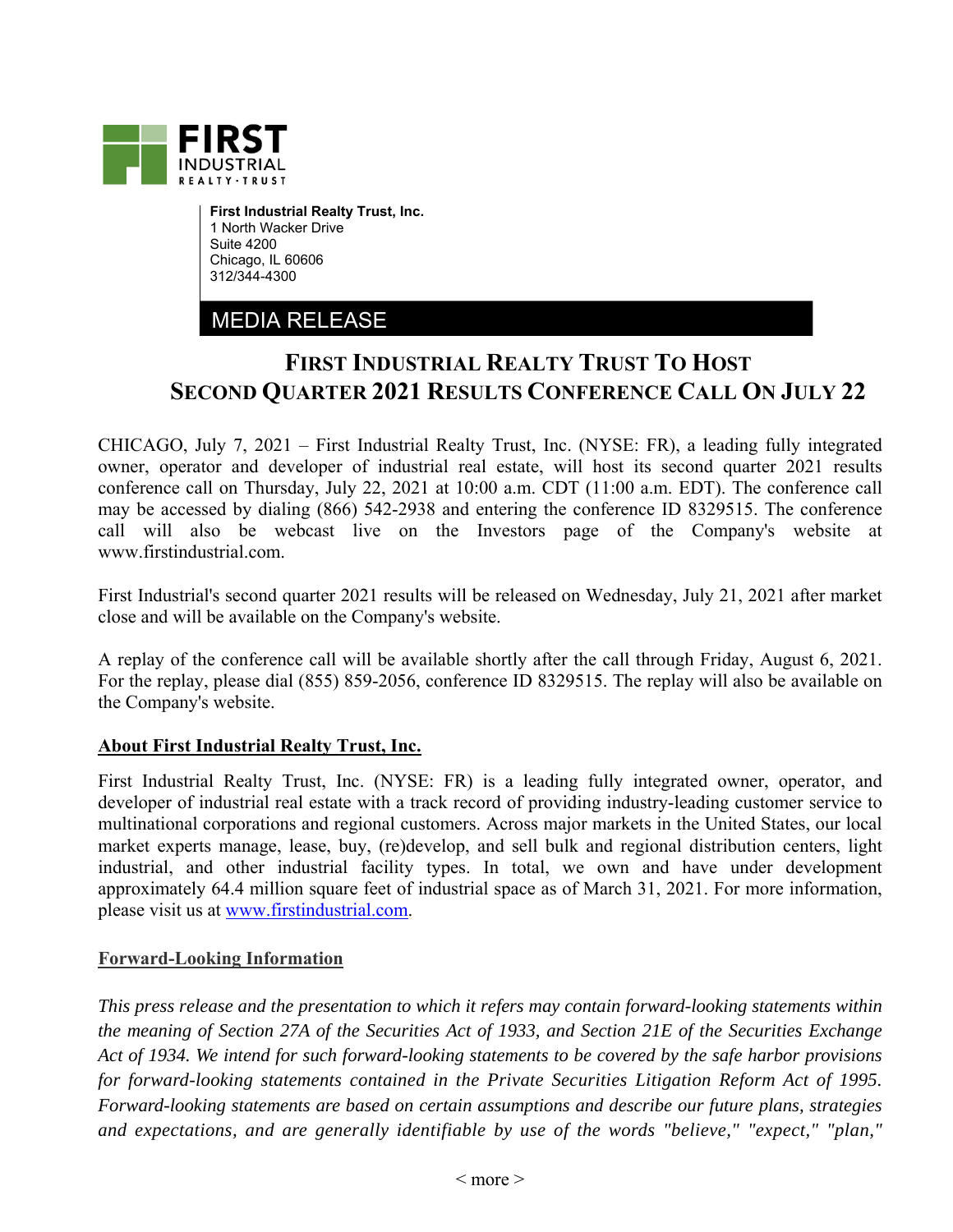

**First Industrial Realty Trust, Inc.**  1 North Wacker Drive Suite 4200 Chicago, IL 60606 312/344-4300

## MEDIA RELEASE

## **FIRST INDUSTRIAL REALTY TRUST TO HOST SECOND QUARTER 2021 RESULTS CONFERENCE CALL ON JULY 22**

CHICAGO, July 7, 2021 – First Industrial Realty Trust, Inc. (NYSE: FR), a leading fully integrated owner, operator and developer of industrial real estate, will host its second quarter 2021 results conference call on Thursday, July 22, 2021 at 10:00 a.m. CDT (11:00 a.m. EDT). The conference call may be accessed by dialing (866) 542-2938 and entering the conference ID 8329515. The conference call will also be webcast live on the Investors page of the Company's website at www.firstindustrial.com.

First Industrial's second quarter 2021 results will be released on Wednesday, July 21, 2021 after market close and will be available on the Company's website.

A replay of the conference call will be available shortly after the call through Friday, August 6, 2021. For the replay, please dial (855) 859-2056, conference ID 8329515. The replay will also be available on the Company's website.

## **About First Industrial Realty Trust, Inc.**

First Industrial Realty Trust, Inc. (NYSE: FR) is a leading fully integrated owner, operator, and developer of industrial real estate with a track record of providing industry-leading customer service to multinational corporations and regional customers. Across major markets in the United States, our local market experts manage, lease, buy, (re)develop, and sell bulk and regional distribution centers, light industrial, and other industrial facility types. In total, we own and have under development approximately 64.4 million square feet of industrial space as of March 31, 2021. For more information, please visit us at www.firstindustrial.com.

## **Forward-Looking Information**

*This press release and the presentation to which it refers may contain forward-looking statements within the meaning of Section 27A of the Securities Act of 1933, and Section 21E of the Securities Exchange Act of 1934. We intend for such forward-looking statements to be covered by the safe harbor provisions for forward-looking statements contained in the Private Securities Litigation Reform Act of 1995. Forward-looking statements are based on certain assumptions and describe our future plans, strategies and expectations, and are generally identifiable by use of the words "believe," "expect," "plan,"*